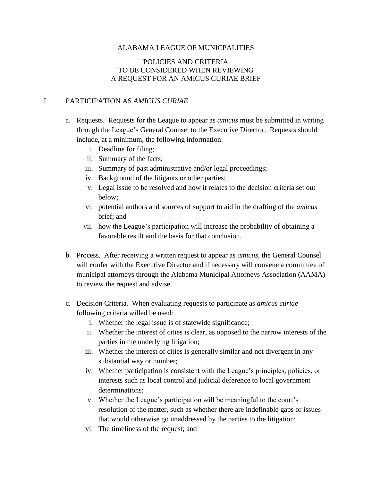## ALABAMA LEAGUE OF MUNICPALITIES

## POLICIES AND CRITERIA TO BE CONSIDERED WHEN REVIEWING A REQUEST FOR AN AMICUS CURIAE BRIEF

## I. PARTICIPATION AS *AMICUS CURIAE*

- a. Requests. Requests for the League to appear as *amicus* must be submitted in writing through the League's General Counsel to the Executive Director. Requests should include, at a minimum, the following information:
	- i. Deadline for filing;
	- ii. Summary of the facts;
	- iii. Summary of past administrative and/or legal proceedings;
	- iv. Background of the litigants or other parties;
	- v. Legal issue to be resolved and how it relates to the decision criteria set out below;
	- vi. potential authors and sources of support to aid in the drafting of the *amicus* brief; and
	- vii. how the League's participation will increase the probability of obtaining a favorable result and the basis for that conclusion.
- b. Process. After receiving a written request to appear as *amicus*, the General Counsel will confer with the Executive Director and if necessary will convene a committee of municipal attorneys through the Alabama Municipal Attorneys Association (AAMA) to review the request and advise.
- c. Decision Criteria. When evaluating requests to participate as *amicus curiae* following criteria willed be used:
	- i. Whether the legal issue is of statewide significance;
	- ii. Whether the interest of cities is clear, as opposed to the narrow interests of the parties in the underlying litigation;
	- iii. Whether the interest of cities is generally similar and not divergent in any substantial way or number;
	- iv. Whether participation is consistent with the League's principles, policies, or interests such as local control and judicial deference to local government determinations;
	- v. Whether the League's participation will be meaningful to the court's resolution of the matter, such as whether there are indefinable gaps or issues that would otherwise go unaddressed by the parties to the litigation;
	- vi. The timeliness of the request; and